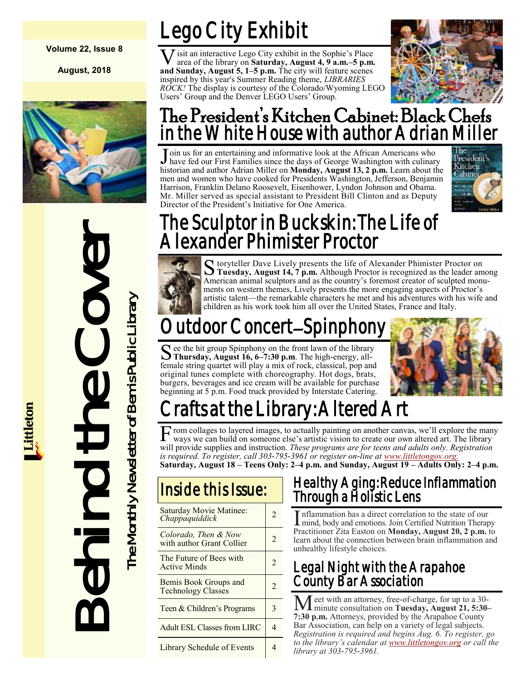#### **Volume 22, Issue 8**

**August, 2018**



The Sculptor in<br>
Alexander Phi<br>
Alexander Phi<br>
Structday, August 16.6-7.<br>
Structday, August 16.6-7.<br>
Mannics on western distince and is work<br>
ments on western distince and is work<br>
Coultdoor Conce<br>
Structday, August 16.6-7

Lego City Exhibit

**V** isit an interactive Lego City exhibit in the Sophie's Place area of the library on **Saturday, August 4, 9 a.m.–5 p.m.**<br>and **Sunday, August 5, 1–5 p.m.** The city will feature scenes **J** isit an interactive Lego City exhibit in the Sophie's Place area of the library on **Saturday, August 4, 9 a.m.–5 p.m.**  inspired by this year's Summer Reading theme, *LIBRARIES ROCK!* The display is courtesy of the Colorado/Wyoming LEGO Users' Group and the Denver LEGO Users' Group.



#### The President's Kitchen Cabinet: Black Chefs in the White House with author Adrian Miller

Join us for an entertaining and informative look at the African Americans who have fed our First Families since the days of George Washington with culinary have fed our First Families since the days of George Washington with culinary historian and author Adrian Miller on **Monday, August 13, 2 p.m.** Learn about the men and women who have cooked for Presidents Washington, Jefferson, Benjamin Harrison, Franklin Delano Roosevelt, Eisenhower, Lyndon Johnson and Obama. Mr. Miller served as special assistant to President Bill Clinton and as Deputy Director of the President's Initiative for One America.



#### The Sculptor in Buckskin: The Life of Alexander Phimister Proctor

S toryteller Dave Lively presents the life of Alexander Phimister Proctor on<br> **S** Tuesday, August 14, 7 p.m. Although Proctor is recognized as the leader among toryteller Dave Lively presents the life of Alexander Phimister Proctor on American animal sculptors and as the country's foremost creator of sculpted monuments on western themes, Lively presents the more engaging aspects of Proctor's artistic talent—the remarkable characters he met and his adventures with his wife and children as his work took him all over the United States, France and Italy.

## Outdoor Concert–Spinpho

See the hit group Spinphony on the front lawn of the library<br>Thursday, August 16, 6–7:30 p.m. The high-energy, all-**Thursday, August 16, 6–7:30 p.m**. The high-energy, allfemale string quartet will play a mix of rock, classical, pop and original tunes complete with choreography. Hot dogs, brats, burgers, beverages and ice cream will be available for purchase beginning at 5 p.m. Food truck provided by Interstate Catering.



## rafts at the Library: Altered Art

From collages to layered images, to actually painting on another canvas, we'll explore the many ways we can build on someone else's artistic vision to create our own altered art. The library ways we can build on someone else's artistic vision to create our own altered art. The library will provide supplies and instruction. *These programs are for teens and adults only. Registration is required. To register, call 303-795-3961 or register on-line at [www.littletongov.org.](https://www.littletongov.org/city-services/city-departments/bemis-library/library-events-calendar/-curm-8/-cury-2018)* **Saturday, August 18 – Teens Only: 2–4 p.m. and Sunday, August 19 – Adults Only: 2–4 p.m.**

| <b>Saturday Movie Matinee:</b><br>Chappaquiddick   | 2.                       |
|----------------------------------------------------|--------------------------|
| Colorado, Then & Now<br>with author Grant Collier  | $\overline{\mathcal{L}}$ |
| The Future of Bees with<br><b>Active Minds</b>     | $\mathfrak{D}$           |
| Bemis Book Groups and<br><b>Technology Classes</b> | $\mathcal{L}$            |
| Teen & Children's Programs                         | 3                        |
| <b>Adult ESL Classes from LIRC</b>                 |                          |
| Library Schedule of Events                         |                          |

#### Healthy Aging: Reduce Inflammation Through a Holistic Lens

Inflammation has a direct correlation to the state of our mind, body and emotions. Join Certified Nutrition Therapy nflammation has a direct correlation to the state of our Practitioner Zita Easton on **Monday, August 20, 2 p.m.** to learn about the connection between brain inflammation and unhealthy lifestyle choices.

#### Legal Night with the Arapahoe County Bar Association

Meet with an attorney, free-of-charge, for up to a 30- minute consultation on **Tuesday, August 21, 5:30– 7:30 p.m.** Attorneys, provided by the Arapahoe County Bar Association, can help on a variety of legal subjects. *Registration is required and begins Aug. 6. To register, go to the library's calendar at [www.littletongov.org](https://www.littletongov.org/city-services/city-departments/bemis-library/library-events-calendar/-curm-8/-cury-2018) or call the library at 303-795-3961.*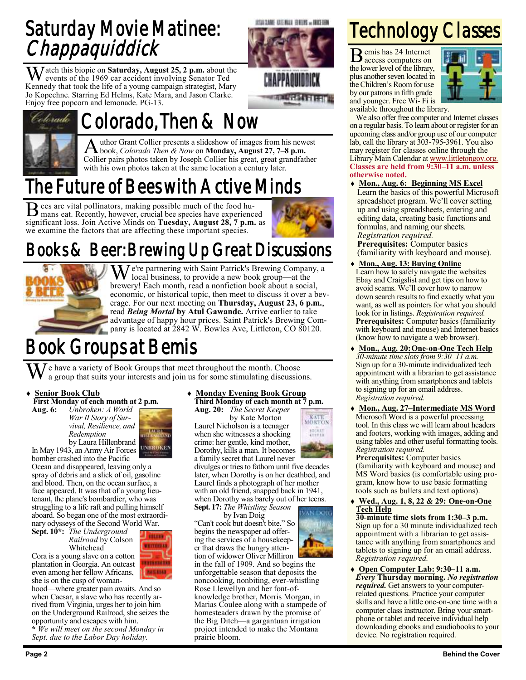#### Saturday Movie Matinee: **Chappaquiddick**

**M** atch this biopic on **Saturday**, August 25, 2 p.m. about the events of the 1969 car accident involving Senator Ted Kennedy that took the life of a young campaign strategist, Mary Jo Kopechne. Starring Ed Helms, Kate Mara, and Jason Clarke. Enjoy free popcorn and lemonade. PG-13.



## Colorado, Then & Now

A uthor Grant Collier presents a slideshow of images from his new<br>
Nook, *Colorado Then & Now* on **Monday, August 27, 7–8 p.m.** uthor Grant Collier presents a slideshow of images from his newest Collier pairs photos taken by Joseph Collier his great, great grandfather with his own photos taken at the same location a century later.

### The Future of Bees with Active Minds

Bees are vital pollinators, making possible much of the food hu-<br>mans eat. Recently, however, crucial bee species have experience mans eat. Recently, however, crucial bee species have experienced significant loss. Join Active Minds on **Tuesday, August 28, 7 p.m.** as we examine the factors that are affecting these important species.



USU CANE ANTENIUE BRITAS - DOCEDEN

**MARKET HE** 

#### Books & Beer: Brewing Up Great Discussions



 $\mathbf{M}$  e're partnering with Saint Patrick's Brewing Company, a local business, to provide a new book group—at the brewery! Each month, read a nonfiction book about a social, economic, or historical topic, then meet to discuss it over a beverage. For our next meeting on **Thursday, August 23, 6 p.m.**, read *Being Mortal* **by Atul Gawande.** Arrive earlier to take advantage of happy hour prices. Saint Patrick's Brewing Company is located at 2842 W. Bowles Ave, Littleton, CO 80120.

#### Book Groups at Bemis

e have a variety of Book Groups that meet throughout the month. Choose a group that suits your interests and join us for some stimulating discussions.

#### **Senior Book Club**

**First Monday of each month at 2 p.m.**

**Aug. 6:** *Unbroken: A World War II Story of Survival, Resilience, and Redemption* by Laura Hillenbrand

**IMMER** 

In May 1943, an Army Air Forces UNBROKEN bomber crashed into the Pacific Ocean and disappeared, leaving only a

spray of debris and a slick of oil, gasoline and blood. Then, on the ocean surface, a face appeared. It was that of a young lieutenant, the plane's bombardier, who was struggling to a life raft and pulling himself aboard. So began one of the most extraordinary odysseys of the Second World War.

**Sept. 10\*:** *The Underground Railroad* by Colson Whitehead

Cora is a young slave on a cotton plantation in Georgia. An outcast even among her fellow Africans, she is on the cusp of woman-

**CELORA** WEITHEERS **BAILEDAD** 

hood—where greater pain awaits. And so when Caesar, a slave who has recently arrived from Virginia, urges her to join him on the Underground Railroad, she seizes the opportunity and escapes with him.<br> $*$   $W_0$  will may

**\*** *We will meet on the second Monday in Sept. due to the Labor Day holiday.*

#### **Monday Evening Book Group Third Monday of each month at 7 p.m.**

**Aug. 20:** *The Secret Keeper* by Kate Morton Laurel Nicholson is a teenager when she witnesses a shocking crime: her gentle, kind mother, Dorothy, kills a man. It becomes



**N** DOK

a family secret that Laurel never divulges or tries to fathom until five decades later, when Dorothy is on her deathbed, and Laurel finds a photograph of her mother with an old friend, snapped back in 1941, when Dorothy was barely out of her teens. **Sept. 17:** *The Whistling Season*

by Ivan Doig

"Can't cook but doesn't bite." So begins the newspaper ad offering the services of a housekeeper that draws the hungry attention of widower Oliver Milliron

in the fall of 1909. And so begins the unforgettable season that deposits the noncooking, nonbiting, ever-whistling Rose Llewellyn and her font-ofknowledge brother, Morris Morgan, in Marias Coulee along with a stampede of homesteaders drawn by the promise of the Big Ditch—a gargantuan irrigation project intended to make the Montana prairie bloom.

## Technology Classes

B emis has 24 Internet access computers on the lower level of the library, plus another seven located in the Children's Room for use by our patrons in fifth grade and younger. Free Wi- Fi is



available throughout the library.

We also offer free computer and Internet classes on a regular basis. To learn about or register for an upcoming class and/or group use of our computer lab, call the library at 303-795-3961. You also may register for classes online through the Library Main Calendar at [www.littletongov.org.](https://www.littletongov.org/city-services/city-departments/bemis-library/library-events-calendar/-curm-8/-cury-2018/-selcat-157) **Classes are held from 9:30–11 a.m. unless otherwise noted.**

 **Mon., Aug. 6: Beginning MS Excel** Learn the basics of this powerful Microsoft spreadsheet program. We'll cover setting up and using spreadsheets, entering and editing data, creating basic functions and formulas, and naming our sheets. *Registration required.*

**Prerequisites:** Computer basics (familiarity with keyboard and mouse).

- **Mon., Aug. 13: Buying Online** Learn how to safely navigate the websites Ebay and Craigslist and get tips on how to avoid scams. We'll cover how to narrow down search results to find exactly what you want, as well as pointers for what you should look for in listings. *Registration required.* **Prerequisites:** Computer basics (familiarity with keyboard and mouse) and Internet basics (know how to navigate a web browser).
- **Mon., Aug. 20:One-on-One Tech Help** *30-minute time slots from 9:30–11 a.m.* Sign up for a 30-minute individualized tech appointment with a librarian to get assistance with anything from smartphones and tablets to signing up for an email address. *Registration required.*
- **Mon., Aug. 27–Intermediate MS Word** Microsoft Word is a powerful processing tool. In this class we will learn about headers and footers, working with images, adding and using tables and other useful formatting tools. *Registration required.*

**Prerequisites:** Computer basics (familiarity with keyboard and mouse) and MS Word basics (is comfortable using program, know how to use basic formatting tools such as bullets and text options).

 **Wed., Aug. 1, 8, 22 & 29: One-on-One Tech Help**

**30-minute time slots from 1:30–3 p.m.** Sign up for a 30 minute individualized tech appointment with a librarian to get assistance with anything from smartphones and tablets to signing up for an email address. *Registration required.*

 **Open Computer Lab: 9:30–11 a.m.** *Every* **Thursday morning.** *No registration required.* Get answers to your computerrelated questions. Practice your computer skills and have a little one-on-one time with a computer class instructor. Bring your smartphone or tablet and receive individual help downloading ebooks and eaudiobooks to your device. No registration required.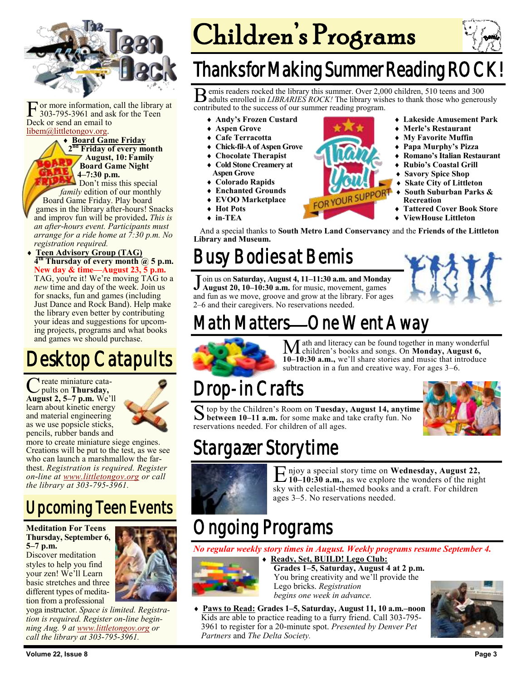

F or more information,<br>303-795-3961 and asl<br>Deck or send an email to or more information, call the library at 303-795-3961 and ask for the Teen [libem@littletongov.org.](mailto:libem@littletongov.org.)

#### **Board Game Friday 2 nd Friday of every month**

**August, 10: Family Board Game Night 4–7:30 p.m.**

Don't miss this special *family* edition of our monthly Board Game Friday. Play board games in the library after-hours! Snacks and improv fun will be provided**.** *This is an after-hours event. Participants must arrange for a ride home at 7:30 p.m. No registration required.*

 **Teen Advisory Group (TAG) 4 th Thursday of every month @ 5 p.m. New day & time—August 23, 5 p.m.** TAG, you're it! We're moving TAG to a *new* time and day of the week. Join us for snacks, fun and games (including Just Dance and Rock Band). Help make the library even better by contributing your ideas and suggestions for upcoming projects, programs and what books and games we should purchase.

#### Desktop Catapults

C pults on **Thursday,**  reate miniature cata-**August 2, 5–7 p.m.** We'll learn about kinetic energy and material engineering as we use popsicle sticks, pencils, rubber bands and



more to create miniature siege engines. Creations will be put to the test, as we see who can launch a marshmallow the farthest. *Registration is required. Register on-line at [www.littletongov.org](https://docs.google.com/forms/d/e/1FAIpQLScrGGe-bVsGxuqQ_YA2lfIeT37bpe8jxJgBRMvQ71ILgu0EVw/viewform) or call the library at 303-795-3961.*

#### Upcoming Teen Events

#### **Meditation For Teens Thursday, September 6, 5–7 p.m.**

Discover meditation styles to help you find your zen! We'll Learn basic stretches and three different types of meditation from a professional



yoga instructor. *Space is limited. Registration is required. Register on-line beginning Aug. 9 at [www.littletongov.org](https://www.littletongov.org/Home/Components/Calendar/Event/20538/441?curm=9&cury=2018&selcat=97) or call the library at 303-795-3961.*

# Children's Programs



#### **Thanks for Making Summer Reading RO**

B emis readers rocked the library this summer. Over 2,000 children, 510 teens and 300 adults enrolled in *LIBRARIES ROCK!* The library wishes to thank those who generously emis readers rocked the library this summer. Over 2,000 children, 510 teens and 300 contributed to the success of our summer reading program.

- **Andy's Frozen Custard**
- **Aspen Grove**
- **Cafe Terracotta**
- **Chick-fil-A of Aspen Grove**
- **Chocolate Therapist**
- **Cold Stone Creamery at**
- **Aspen Grove Colorado Rapids**
- **Enchanted Grounds**
- **EVOO Marketplace**
- **Hot Pots**
- **in-TEA**
- And a special thanks to **South Metro Land Conservancy** and the **Friends of the Littleton Library and Museum.**

### Busy Bodies at Bemis

Join us on **Saturday, August 4, 11–11:30 a.m. and Monday**<br>August 20, 10–10:30 a.m. for music, movement, games **August 20, 10–10:30 a.m.** for music, movement, games and fun as we move, groove and grow at the library. For ages 2–6 and their caregivers. No reservations needed.



 **Lakeside Amusement Park Merle's Restaurant My Favorite Muffin Papa Murphy's Pizza Romano's Italian Restaurant Rubio's Coastal Grill Savory Spice Shop Skate City of Littleton South Suburban Parks &** 

 **Tattered Cover Book Store ViewHouse Littleton**

**Recreation**

### Math Matters—One Went Away



Math and literacy can be found together in many wonderful children's books and songs. On **Monday, August 6, 10–10:30 a.m.,** we'll share stories and music that introduce subtraction in a fun and creative way. For ages 3–6.

#### Drop-in Crafts

S top by the Children's Room on Tuesday, August 14, anytin<br>**S** between 10–11 a.m. for some make and take crafty fun. No top by the Children's Room on **Tuesday, August 14, anytime**  reservations needed. For children of all ages.



### Stargazer Storytime



E njoy a special story time on Wednesday, August 22,<br>10–10:30 a.m., as we explore the wonders of the night njoy a special story time on **Wednesday, August 22,** sky with celestial-themed books and a craft. For children ages 3–5. No reservations needed.

### Ongoing Programs

*No regular weekly story times in August. Weekly programs resume September 4.*



- **Ready, Set, BUILD! Lego Club: Grades 1–5, Saturday, August 4 at 2 p.m.** You bring creativity and we'll provide the Lego bricks. *Registration begins one week in advance.*
- **Paws to Read: Grades 1–5, Saturday, August 11, 10 a.m.–noon** Kids are able to practice reading to a furry friend. Call 303-795- 3961 to register for a 20-minute spot. *Presented by Denver Pet Partners* and *The Delta Society.*